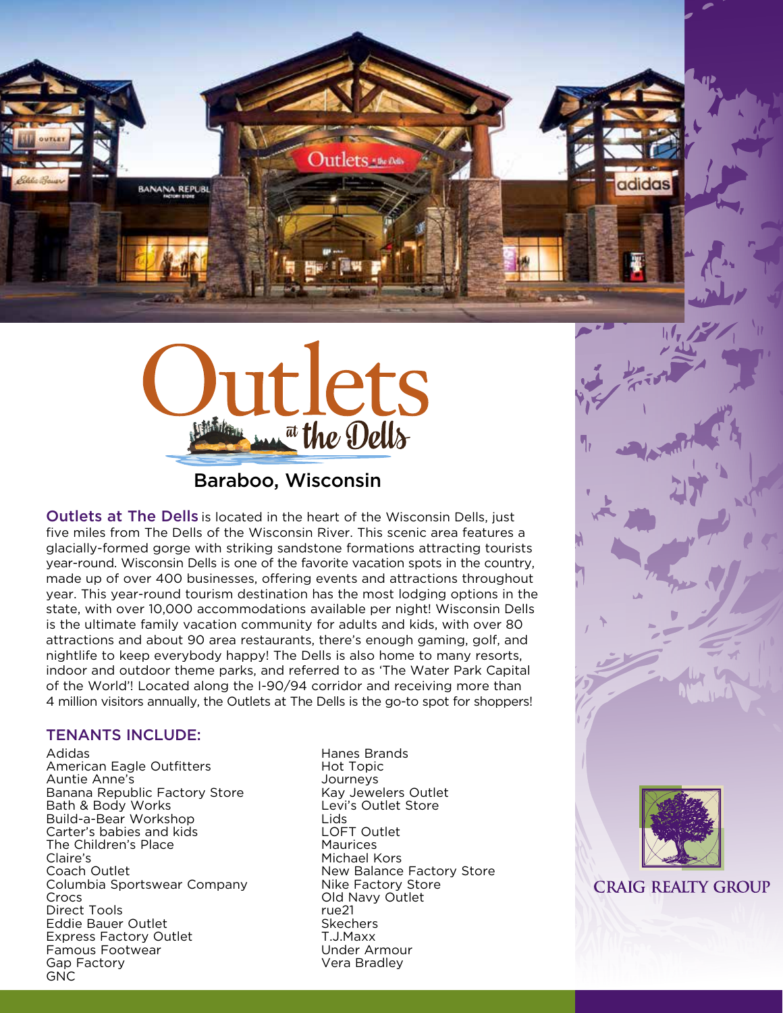



## Baraboo, Wisconsin

**Outlets at The Dells** is located in the heart of the Wisconsin Dells, just five miles from The Dells of the Wisconsin River. This scenic area features a glacially-formed gorge with striking sandstone formations attracting tourists year-round. Wisconsin Dells is one of the favorite vacation spots in the country, made up of over 400 businesses, offering events and attractions throughout year. This year-round tourism destination has the most lodging options in the state, with over 10,000 accommodations available per night! Wisconsin Dells is the ultimate family vacation community for adults and kids, with over 80 attractions and about 90 area restaurants, there's enough gaming, golf, and nightlife to keep everybody happy! The Dells is also home to many resorts, indoor and outdoor theme parks, and referred to as 'The Water Park Capital of the World'! Located along the I-90/94 corridor and receiving more than 4 million visitors annually, the Outlets at The Dells is the go-to spot for shoppers!

#### TENANTS INCLUDE:

Adidas American Eagle Outfitters Auntie Anne's Banana Republic Factory Store Bath & Body Works Build-a-Bear Workshop Carter's babies and kids The Children's Place Claire's Coach Outlet Columbia Sportswear Company Crocs Direct Tools Eddie Bauer Outlet Express Factory Outlet Famous Footwear Gap Factory GNC

Hanes Brands Hot Topic Journeys Kay Jewelers Outlet Levi's Outlet Store Lids LOFT Outlet Maurices Michael Kors New Balance Factory Store Nike Factory Store Old Navy Outlet rue21 Skechers T.J.Maxx Under Armour Vera Bradley





**CRAIG REALTY GROUP**